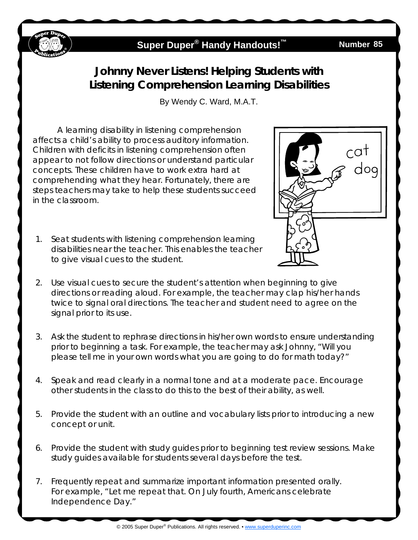

## **Super Duper<sup>®</sup> Handy Handouts!<sup>™</sup>**

## **Number 85**

## **Johnny Never Listens! Helping Students with Listening Comprehension Learning Disabilities**

By Wendy C. Ward, M.A.T.

A learning disability in listening comprehension affects a child's ability to process auditory information. Children with deficits in listening comprehension often appear to not follow directions or understand particular concepts. These children have to work extra hard at comprehending what they hear. Fortunately, there are steps teachers may take to help these students succeed in the classroom.

1. Seat students with listening comprehension learning disabilities near the teacher. This enables the teacher to give visual cues to the student.



- 2. Use visual cues to secure the student's attention when beginning to give directions or reading aloud. For example, the teacher may clap his/her hands twice to signal oral directions. The teacher and student need to agree on the signal prior to its use.
- 3. Ask the student to rephrase directions in his/her own words to ensure understanding prior to beginning a task. For example, the teacher may ask Johnny, "Will you please tell me in your own words what you are going to do for math today?"
- 4. Speak and read clearly in a normal tone and at a moderate pace. Encourage other students in the class to do this to the best of their ability, as well.
- 5. Provide the student with an outline and vocabulary lists prior to introducing a new concept or unit.
- 6. Provide the student with study guides prior to beginning test review sessions. Make study guides available for students several days before the test.
- 7. Frequently repeat and summarize important information presented orally. For example, "Let me repeat that. On July fourth, Americans celebrate Independence Day."